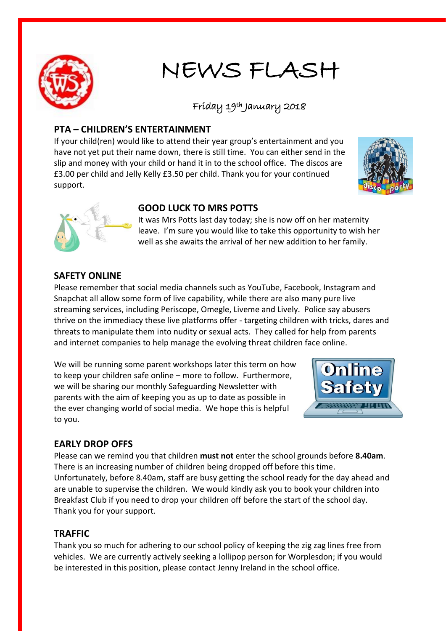

## NEWS FLASH

# Friday 19th January 2018

#### **PTA – CHILDREN'S ENTERTAINMENT**

If your child(ren) would like to attend their year group's entertainment and you have not yet put their name down, there is still time. You can either send in the slip and money with your child or hand it in to the school office. The discos are £3.00 per child and Jelly Kelly £3.50 per child. Thank you for your continued support.





#### **GOOD LUCK TO MRS POTTS**

It was Mrs Potts last day today; she is now off on her maternity leave. I'm sure you would like to take this opportunity to wish her well as she awaits the arrival of her new addition to her family.

#### **SAFETY ONLINE**

Please remember that social media channels such as YouTube, Facebook, Instagram and Snapchat all allow some form of live capability, while there are also many pure live streaming services, including Periscope, Omegle, Liveme and Lively. Police say abusers thrive on the immediacy these live platforms offer - targeting children with tricks, dares and threats to manipulate them into nudity or sexual acts. They called for help from parents and internet companies to help manage the evolving threat children face online.

We will be running some parent workshops later this term on how to keep your children safe online – more to follow. Furthermore, we will be sharing our monthly Safeguarding Newsletter with parents with the aim of keeping you as up to date as possible in the ever changing world of social media. We hope this is helpful to you.



### **EARLY DROP OFFS**

Please can we remind you that children **must not** enter the school grounds before **8.40am**. There is an increasing number of children being dropped off before this time. Unfortunately, before 8.40am, staff are busy getting the school ready for the day ahead and are unable to supervise the children. We would kindly ask you to book your children into Breakfast Club if you need to drop your children off before the start of the school day. Thank you for your support.

#### **TRAFFIC**

Thank you so much for adhering to our school policy of keeping the zig zag lines free from vehicles. We are currently actively seeking a lollipop person for Worplesdon; if you would be interested in this position, please contact Jenny Ireland in the school office.